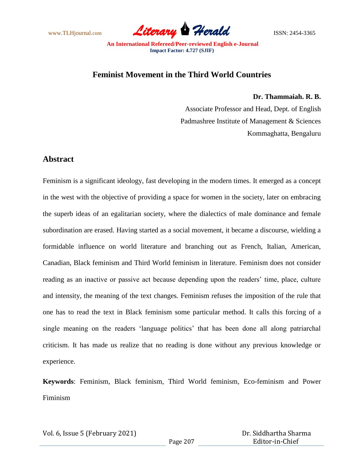www.TLHjournal.com *Literary Herald*ISSN: 2454-3365

## **Feminist Movement in the Third World Countries**

**Dr. Thammaiah. R. B.**

Associate Professor and Head, Dept. of English Padmashree Institute of Management & Sciences Kommaghatta, Bengaluru

## **Abstract**

Feminism is a significant ideology, fast developing in the modern times. It emerged as a concept in the west with the objective of providing a space for women in the society, later on embracing the superb ideas of an egalitarian society, where the dialectics of male dominance and female subordination are erased. Having started as a social movement, it became a discourse, wielding a formidable influence on world literature and branching out as French, Italian, American, Canadian, Black feminism and Third World feminism in literature. Feminism does not consider reading as an inactive or passive act because depending upon the readers' time, place, culture and intensity, the meaning of the text changes. Feminism refuses the imposition of the rule that one has to read the text in Black feminism some particular method. It calls this forcing of a single meaning on the readers "language politics" that has been done all along patriarchal criticism. It has made us realize that no reading is done without any previous knowledge or experience.

**Keywords**: Feminism, Black feminism, Third World feminism, Eco-feminism and Power Fiminism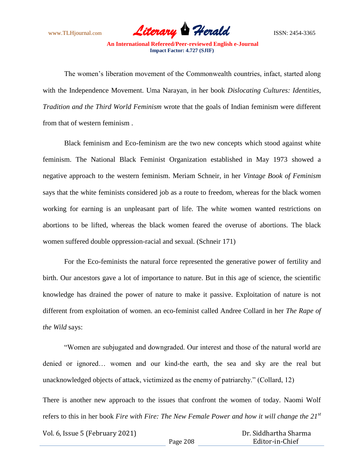

The women"s liberation movement of the Commonwealth countries, infact, started along with the Independence Movement. Uma Narayan, in her book *Dislocating Cultures: Identities, Tradition and the Third World Feminism* wrote that the goals of Indian feminism were different from that of western feminism .

Black feminism and Eco-feminism are the two new concepts which stood against white feminism. The National Black Feminist Organization established in May 1973 showed a negative approach to the western feminism. Meriam Schneir, in her *Vintage Book of Feminism* says that the white feminists considered job as a route to freedom, whereas for the black women working for earning is an unpleasant part of life. The white women wanted restrictions on abortions to be lifted, whereas the black women feared the overuse of abortions. The black women suffered double oppression-racial and sexual. (Schneir 171)

For the Eco-feminists the natural force represented the generative power of fertility and birth. Our ancestors gave a lot of importance to nature. But in this age of science, the scientific knowledge has drained the power of nature to make it passive. Exploitation of nature is not different from exploitation of women. an eco-feminist called Andree Collard in her *The Rape of the Wild* says:

"Women are subjugated and downgraded. Our interest and those of the natural world are denied or ignored… women and our kind-the earth, the sea and sky are the real but unacknowledged objects of attack, victimized as the enemy of patriarchy." (Collard, 12)

There is another new approach to the issues that confront the women of today. Naomi Wolf refers to this in her book *Fire with Fire: The New Female Power and how it will change the 21st*

Vol. 6, Issue 5 (February 2021)

 Dr. Siddhartha Sharma Editor-in-Chief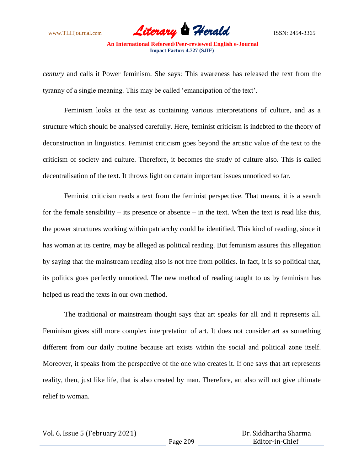www.TLHjournal.com *Literary Herald*ISSN: 2454-3365

*century* and calls it Power feminism. She says: This awareness has released the text from the tyranny of a single meaning. This may be called "emancipation of the text".

Feminism looks at the text as containing various interpretations of culture, and as a structure which should be analysed carefully. Here, feminist criticism is indebted to the theory of deconstruction in linguistics. Feminist criticism goes beyond the artistic value of the text to the criticism of society and culture. Therefore, it becomes the study of culture also. This is called decentralisation of the text. It throws light on certain important issues unnoticed so far.

Feminist criticism reads a text from the feminist perspective. That means, it is a search for the female sensibility – its presence or absence – in the text. When the text is read like this, the power structures working within patriarchy could be identified. This kind of reading, since it has woman at its centre, may be alleged as political reading. But feminism assures this allegation by saying that the mainstream reading also is not free from politics. In fact, it is so political that, its politics goes perfectly unnoticed. The new method of reading taught to us by feminism has helped us read the texts in our own method.

The traditional or mainstream thought says that art speaks for all and it represents all. Feminism gives still more complex interpretation of art. It does not consider art as something different from our daily routine because art exists within the social and political zone itself. Moreover, it speaks from the perspective of the one who creates it. If one says that art represents reality, then, just like life, that is also created by man. Therefore, art also will not give ultimate relief to woman.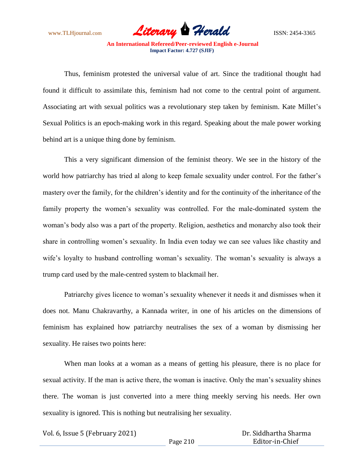www.TLHjournal.com *Literary Herald*ISSN: 2454-3365

Thus, feminism protested the universal value of art. Since the traditional thought had found it difficult to assimilate this, feminism had not come to the central point of argument. Associating art with sexual politics was a revolutionary step taken by feminism. Kate Millet"s Sexual Politics is an epoch-making work in this regard. Speaking about the male power working behind art is a unique thing done by feminism.

This a very significant dimension of the feminist theory. We see in the history of the world how patriarchy has tried al along to keep female sexuality under control. For the father's mastery over the family, for the children"s identity and for the continuity of the inheritance of the family property the women's sexuality was controlled. For the male-dominated system the woman"s body also was a part of the property. Religion, aesthetics and monarchy also took their share in controlling women"s sexuality. In India even today we can see values like chastity and wife's loyalty to husband controlling woman's sexuality. The woman's sexuality is always a trump card used by the male-centred system to blackmail her.

Patriarchy gives licence to woman"s sexuality whenever it needs it and dismisses when it does not. Manu Chakravarthy, a Kannada writer, in one of his articles on the dimensions of feminism has explained how patriarchy neutralises the sex of a woman by dismissing her sexuality. He raises two points here:

When man looks at a woman as a means of getting his pleasure, there is no place for sexual activity. If the man is active there, the woman is inactive. Only the man's sexuality shines there. The woman is just converted into a mere thing meekly serving his needs. Her own sexuality is ignored. This is nothing but neutralising her sexuality.

Vol. 6, Issue 5 (February 2021)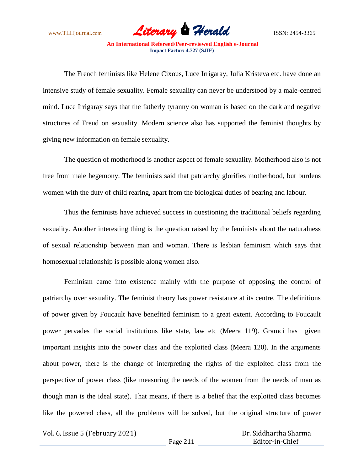www.TLHjournal.com *Literary Herald*ISSN: 2454-3365

The French feminists like Helene Cixous, Luce Irrigaray, Julia Kristeva etc. have done an intensive study of female sexuality. Female sexuality can never be understood by a male-centred mind. Luce Irrigaray says that the fatherly tyranny on woman is based on the dark and negative structures of Freud on sexuality. Modern science also has supported the feminist thoughts by giving new information on female sexuality.

The question of motherhood is another aspect of female sexuality. Motherhood also is not free from male hegemony. The feminists said that patriarchy glorifies motherhood, but burdens women with the duty of child rearing, apart from the biological duties of bearing and labour.

Thus the feminists have achieved success in questioning the traditional beliefs regarding sexuality. Another interesting thing is the question raised by the feminists about the naturalness of sexual relationship between man and woman. There is lesbian feminism which says that homosexual relationship is possible along women also.

Feminism came into existence mainly with the purpose of opposing the control of patriarchy over sexuality. The feminist theory has power resistance at its centre. The definitions of power given by Foucault have benefited feminism to a great extent. According to Foucault power pervades the social institutions like state, law etc (Meera 119). Gramci has given important insights into the power class and the exploited class (Meera 120). In the arguments about power, there is the change of interpreting the rights of the exploited class from the perspective of power class (like measuring the needs of the women from the needs of man as though man is the ideal state). That means, if there is a belief that the exploited class becomes like the powered class, all the problems will be solved, but the original structure of power

Vol. 6, Issue 5 (February 2021)

 Dr. Siddhartha Sharma Editor-in-Chief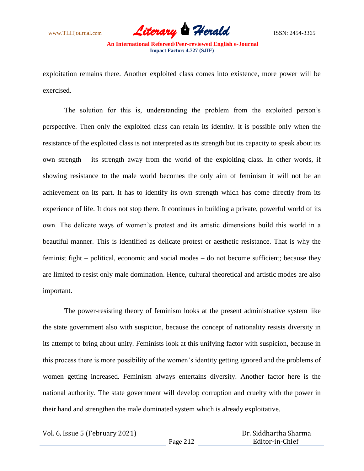

exploitation remains there. Another exploited class comes into existence, more power will be exercised.

The solution for this is, understanding the problem from the exploited person"s perspective. Then only the exploited class can retain its identity. It is possible only when the resistance of the exploited class is not interpreted as its strength but its capacity to speak about its own strength – its strength away from the world of the exploiting class. In other words, if showing resistance to the male world becomes the only aim of feminism it will not be an achievement on its part. It has to identify its own strength which has come directly from its experience of life. It does not stop there. It continues in building a private, powerful world of its own. The delicate ways of women"s protest and its artistic dimensions build this world in a beautiful manner. This is identified as delicate protest or aesthetic resistance. That is why the feminist fight – political, economic and social modes – do not become sufficient; because they are limited to resist only male domination. Hence, cultural theoretical and artistic modes are also important.

The power-resisting theory of feminism looks at the present administrative system like the state government also with suspicion, because the concept of nationality resists diversity in its attempt to bring about unity. Feminists look at this unifying factor with suspicion, because in this process there is more possibility of the women"s identity getting ignored and the problems of women getting increased. Feminism always entertains diversity. Another factor here is the national authority. The state government will develop corruption and cruelty with the power in their hand and strengthen the male dominated system which is already exploitative.

Vol. 6, Issue 5 (February 2021)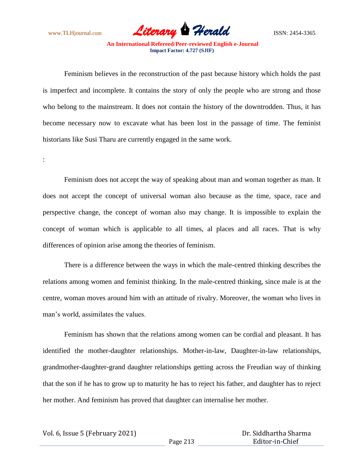

Feminism believes in the reconstruction of the past because history which holds the past is imperfect and incomplete. It contains the story of only the people who are strong and those who belong to the mainstream. It does not contain the history of the downtrodden. Thus, it has become necessary now to excavate what has been lost in the passage of time. The feminist historians like Susi Tharu are currently engaged in the same work.

:

Feminism does not accept the way of speaking about man and woman together as man. It does not accept the concept of universal woman also because as the time, space, race and perspective change, the concept of woman also may change. It is impossible to explain the concept of woman which is applicable to all times, al places and all races. That is why differences of opinion arise among the theories of feminism.

There is a difference between the ways in which the male-centred thinking describes the relations among women and feminist thinking. In the male-centred thinking, since male is at the centre, woman moves around him with an attitude of rivalry. Moreover, the woman who lives in man"s world, assimilates the values.

Feminism has shown that the relations among women can be cordial and pleasant. It has identified the mother-daughter relationships. Mother-in-law, Daughter-in-law relationships, grandmother-daughter-grand daughter relationships getting across the Freudian way of thinking that the son if he has to grow up to maturity he has to reject his father, and daughter has to reject her mother. And feminism has proved that daughter can internalise her mother.

Vol. 6, Issue 5 (February 2021)